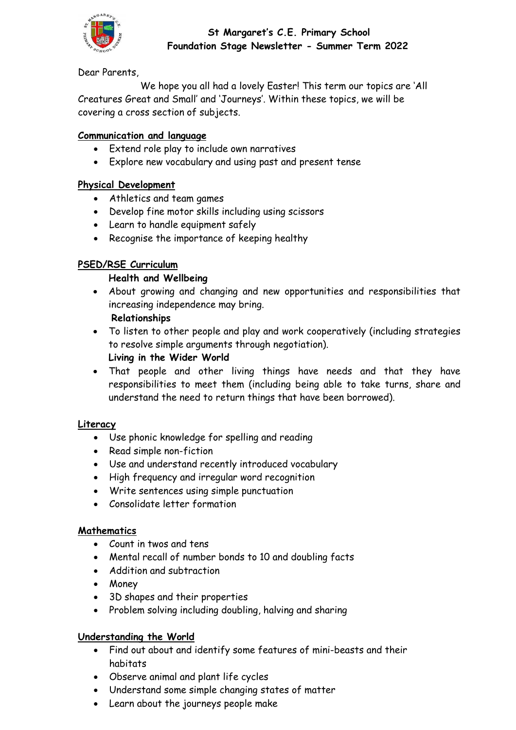

### **St Margaret's C.E. Primary School Foundation Stage Newsletter - Summer Term 2022**

Dear Parents,

We hope you all had a lovely Easter! This term our topics are 'All Creatures Great and Small' and 'Journeys'. Within these topics, we will be covering a cross section of subjects.

### **Communication and language**

- Extend role play to include own narratives
- Explore new vocabulary and using past and present tense

#### **Physical Development**

- Athletics and team games
- Develop fine motor skills including using scissors
- Learn to handle equipment safely
- Recognise the importance of keeping healthy

### **PSED/RSE Curriculum**

#### **Health and Wellbeing**

 About growing and changing and new opportunities and responsibilities that increasing independence may bring.

## **Relationships**

- To listen to other people and play and work cooperatively (including strategies to resolve simple arguments through negotiation). **Living in the Wider World**
- That people and other living things have needs and that they have responsibilities to meet them (including being able to take turns, share and understand the need to return things that have been borrowed).

#### **Literacy**

- Use phonic knowledge for spelling and reading
- Read simple non-fiction
- Use and understand recently introduced vocabulary
- High frequency and irregular word recognition
- Write sentences using simple punctuation
- Consolidate letter formation

#### **Mathematics**

- Count in twos and tens
- Mental recall of number bonds to 10 and doubling facts
- Addition and subtraction
- Money
- 3D shapes and their properties
- Problem solving including doubling, halving and sharing

#### **Understanding the World**

- Find out about and identify some features of mini-beasts and their habitats
- Observe animal and plant life cycles
- Understand some simple changing states of matter
- Learn about the journeys people make